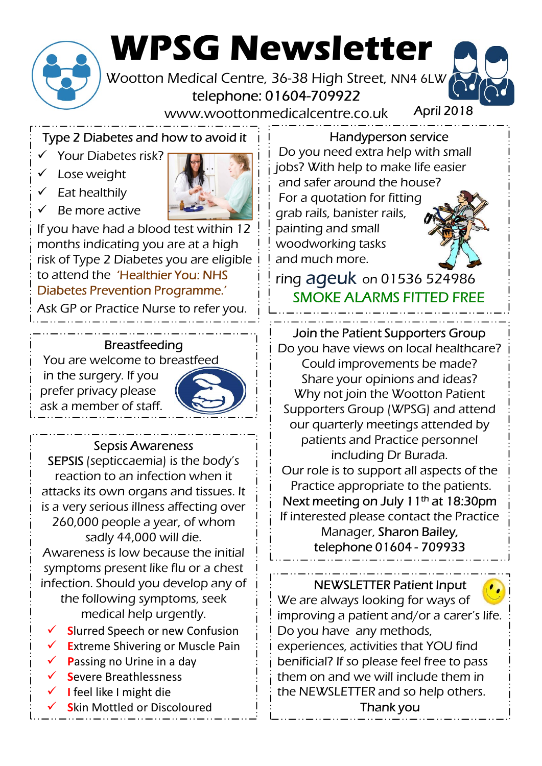

# WPSG Newsletter

Wootton Medical Centre, 36-38 High Street, NN4 6LW telephone: 01604-709922

www.woottonmedicalcentre.co.uk

Type 2 Diabetes and how to avoid it

- $\checkmark$  Your Diabetes risk?
- Lose weight
- $\checkmark$  Eat healthily
- $\checkmark$  Be more active



If you have had a blood test within 12 months indicating you are at a high risk of Type 2 Diabetes you are eligible to attend the 'Healthier You: NHS Diabetes Prevention Programme.'

Ask GP or Practice Nurse to refer you.

## **Breastfeeding**

You are welcome to breastfeed in the surgery. If you prefer privacy please ask a member of staff.



# Sepsis Awareness

SEPSIS (septiccaemia) is the body's reaction to an infection when it attacks its own organs and tissues. It is a very serious illness affecting over 260,000 people a year, of whom sadly 44,000 will die. Awareness is low because the initial  $\frac{1}{1}$  telephone 01604 - 709933

symptoms present like flu or a chest infection. Should you develop any of the following symptoms, seek medical help urgently.

- Slurred Speech or new Confusion
- Extreme Shivering or Muscle Pain
- Passing no Urine in a day
- Severe Breathlessness
- I feel like I might die
- Skin Mottled or Discoloured

Handyperson service

April 2018

Do you need extra help with small jobs? With help to make life easier and safer around the house? For a quotation for fitting grab rails, banister rails, painting and small woodworking tasks and much more.

ring ageuk on 01536 524986 SMOKE ALARMS FITTED FREE

# Join the Patient Supporters Group

Do you have views on local healthcare? Could improvements be made? Share your opinions and ideas? Why not join the Wootton Patient Supporters Group (WPSG) and attend our quarterly meetings attended by patients and Practice personnel including Dr Burada. Our role is to support all aspects of the Practice appropriate to the patients. Next meeting on July 11<sup>th</sup> at 18:30pm If interested please contact the Practice Manager, Sharon Bailey, The Patient Supporters Group<br>
Let the Patient Supporters Group<br>
Let the Patient Supporters Group<br>
Duld improvements be made?<br>
y not join the Wootton Patient<br>
orters Group (WPSG) and attend<br>
quarterly meetings attended by<br>

NEWSLETTER Patient Input We are always looking for ways of improving a patient and/or a carer's life. Do you have any methods, experiences, activities that YOU find benificial? If so please feel free to pass them on and we will include them in the NEWSLETTER and so help others. Thank you